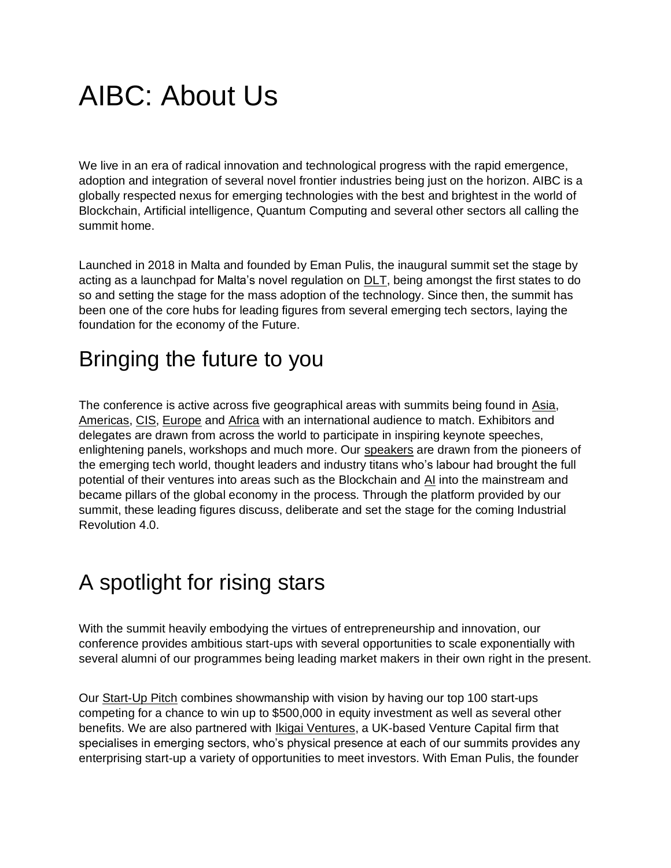## AIBC: About Us

We live in an era of radical innovation and technological progress with the rapid emergence, adoption and integration of several novel frontier industries being just on the horizon. AIBC is a globally respected nexus for emerging technologies with the best and brightest in the world of Blockchain, Artificial intelligence, Quantum Computing and several other sectors all calling the summit home.

Launched in 2018 in Malta and founded by Eman Pulis, the inaugural summit set the stage by acting as a launchpad for Malta's novel regulation on [DLT,](https://aibc.world/latest-news/blockchain/) being amongst the first states to do so and setting the stage for the mass adoption of the technology. Since then, the summit has been one of the core hubs for leading figures from several emerging tech sectors, laying the foundation for the economy of the Future.

## Bringing the future to you

The conference is active across five geographical areas with summits being found in [Asia,](https://aibc.world/asia/) [Americas,](https://aibc.world/americas/) [CIS,](https://aibc.world/cis/) [Europe](https://aibc.world/europe/) and [Africa](https://aibc.world/africa/) with an international audience to match. Exhibitors and delegates are drawn from across the world to participate in inspiring keynote speeches, enlightening panels, workshops and much more. Our [speakers](https://aibc.world/europe/speakers/) are drawn from the pioneers of the emerging tech world, thought leaders and industry titans who's labour had brought the full potential of their ventures into areas such as the Blockchain and [AI](https://aibc.world/latest-news/ai/) into the mainstream and became pillars of the global economy in the process. Through the platform provided by our summit, these leading figures discuss, deliberate and set the stage for the coming Industrial Revolution 4.0.

## A spotlight for rising stars

With the summit heavily embodying the virtues of entrepreneurship and innovation, our conference provides ambitious start-ups with several opportunities to scale exponentially with several alumni of our programmes being leading market makers in their own right in the present.

Our [Start-Up Pitch](https://aibc.world/europe/europe-pitch/) combines showmanship with vision by having our top 100 start-ups competing for a chance to win up to \$500,000 in equity investment as well as several other benefits. We are also partnered with [Ikigai Ventures,](https://ikigaiventures.io/) a UK-based Venture Capital firm that specialises in emerging sectors, who's physical presence at each of our summits provides any enterprising start-up a variety of opportunities to meet investors. With Eman Pulis, the founder